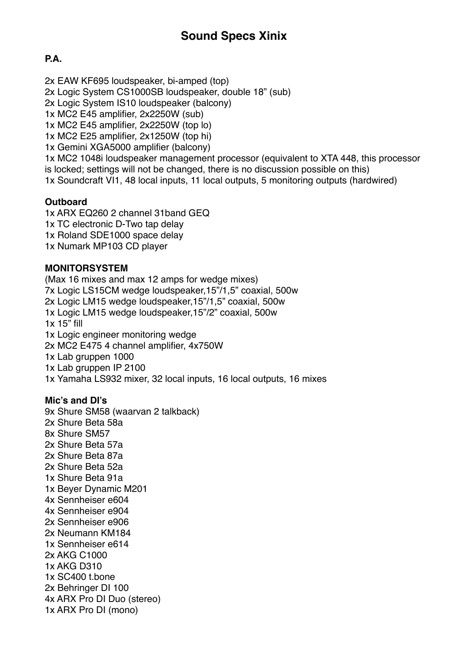# **P.A.**

2x EAW KF695 loudspeaker, bi-amped (top) 2x Logic System CS1000SB loudspeaker, double 18" (sub) 2x Logic System IS10 loudspeaker (balcony) 1x MC2 E45 amplifier, 2x2250W (sub) 1x MC2 E45 amplifier, 2x2250W (top lo) 1x MC2 E25 amplifier, 2x1250W (top hi) 1x Gemini XGA5000 amplifier (balcony) 1x MC2 1048i loudspeaker management processor (equivalent to XTA 448, this processor is locked; settings will not be changed, there is no discussion possible on this) 1x Soundcraft VI1, 48 local inputs, 11 local outputs, 5 monitoring outputs (hardwired)

# **Outboard**

1x ARX EQ260 2 channel 31band GEQ 1x TC electronic D-Two tap delay 1x Roland SDE1000 space delay 1x Numark MP103 CD player

### **MONITORSYSTEM**

(Max 16 mixes and max 12 amps for wedge mixes) 7x Logic LS15CM wedge loudspeaker,15"/1,5" coaxial, 500w 2x Logic LM15 wedge loudspeaker,15"/1,5" coaxial, 500w 1x Logic LM15 wedge loudspeaker,15"/2" coaxial, 500w 1x 15" fill 1x Logic engineer monitoring wedge 2x MC2 E475 4 channel amplifier, 4x750W 1x Lab gruppen 1000 1x Lab gruppen IP 2100 1x Yamaha LS932 mixer, 32 local inputs, 16 local outputs, 16 mixes

# **Mic's and DI's**

9x Shure SM58 (waarvan 2 talkback) 2x Shure Beta 58a 8x Shure SM57 2x Shure Beta 57a 2x Shure Beta 87a 2x Shure Beta 52a 1x Shure Beta 91a 1x Beyer Dynamic M201 4x Sennheiser e604 4x Sennheiser e904 2x Sennheiser e906 2x Neumann KM184 1x Sennheiser e614 2x AKG C1000 1x AKG D310 1x SC400 t.bone 2x Behringer DI 100 4x ARX Pro DI Duo (stereo) 1x ARX Pro DI (mono)